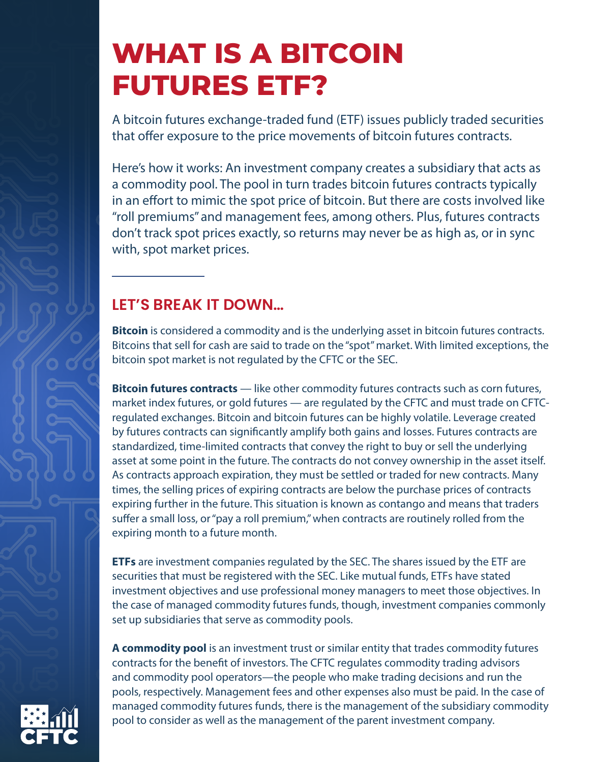# **WHAT IS A BITCOIN FUTURES ETF?**

A bitcoin futures exchange-traded fund (ETF) issues publicly traded securities that offer exposure to the price movements of bitcoin futures contracts.

Here's how it works: An investment company creates a subsidiary that acts as a commodity pool. The pool in turn trades bitcoin futures contracts typically in an effort to mimic the spot price of bitcoin. But there are costs involved like "roll premiums" and management fees, among others. Plus, futures contracts don't track spot prices exactly, so returns may never be as high as, or in sync with, spot market prices.

### **LET'S BREAK IT DOWN…**

**Bitcoin** is considered a commodity and is the underlying asset in bitcoin futures contracts. Bitcoins that sell for cash are said to trade on the "spot" market. With limited exceptions, the bitcoin spot market is not regulated by the CFTC or the SEC.

**Bitcoin futures contracts** — like other commodity futures contracts such as corn futures, market index futures, or gold futures — are regulated by the CFTC and must trade on CFTCregulated exchanges. Bitcoin and bitcoin futures can be highly volatile. Leverage created by futures contracts can significantly amplify both gains and losses. Futures contracts are standardized, time-limited contracts that convey the right to buy or sell the underlying asset at some point in the future. The contracts do not convey ownership in the asset itself. As contracts approach expiration, they must be settled or traded for new contracts. Many times, the selling prices of expiring contracts are below the purchase prices of contracts expiring further in the future. This situation is known as contango and means that traders suffer a small loss, or "pay a roll premium," when contracts are routinely rolled from the expiring month to a future month.

**ETFs** are investment companies regulated by the SEC. The shares issued by the ETF are securities that must be registered with the SEC. Like mutual funds, ETFs have stated investment objectives and use professional money managers to meet those objectives. In the case of managed commodity futures funds, though, investment companies commonly set up subsidiaries that serve as commodity pools.

**A commodity pool** is an investment trust or similar entity that trades commodity futures contracts for the benefit of investors. The CFTC regulates commodity trading advisors and commodity pool operators—the people who make trading decisions and run the pools, respectively. Management fees and other expenses also must be paid. In the case of managed commodity futures funds, there is the management of the subsidiary commodity pool to consider as well as the management of the parent investment company.